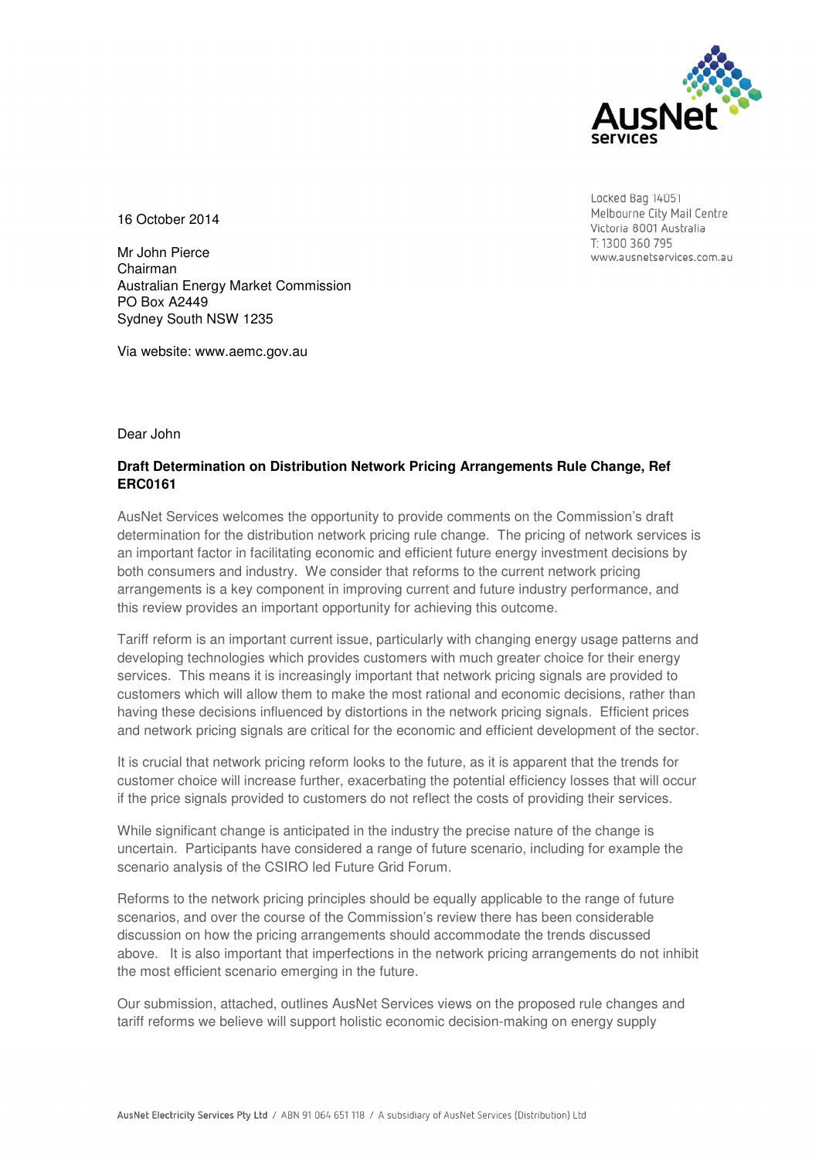

Locked Bag 14051 Melbourne City Mail Centre Victoria 8001 Australia T: 1300 360 795 www.ausnetservices.com.au

16 October 2014

Mr John Pierce Chairman Australian Energy Market Commission PO Box A2449 Sydney South NSW 1235

Via website: www.aemc.gov.au

Dear John

# **Draft Determination on Distribution Network Pricing Arrangements Rule Change, Ref ERC0161**

AusNet Services welcomes the opportunity to provide comments on the Commission's draft determination for the distribution network pricing rule change. The pricing of network services is an important factor in facilitating economic and efficient future energy investment decisions by both consumers and industry. We consider that reforms to the current network pricing arrangements is a key component in improving current and future industry performance, and this review provides an important opportunity for achieving this outcome.

Tariff reform is an important current issue, particularly with changing energy usage patterns and developing technologies which provides customers with much greater choice for their energy services. This means it is increasingly important that network pricing signals are provided to customers which will allow them to make the most rational and economic decisions, rather than having these decisions influenced by distortions in the network pricing signals. Efficient prices and network pricing signals are critical for the economic and efficient development of the sector.

It is crucial that network pricing reform looks to the future, as it is apparent that the trends for customer choice will increase further, exacerbating the potential efficiency losses that will occur if the price signals provided to customers do not reflect the costs of providing their services.

While significant change is anticipated in the industry the precise nature of the change is uncertain. Participants have considered a range of future scenario, including for example the scenario analysis of the CSIRO led Future Grid Forum.

Reforms to the network pricing principles should be equally applicable to the range of future scenarios, and over the course of the Commission's review there has been considerable discussion on how the pricing arrangements should accommodate the trends discussed above. It is also important that imperfections in the network pricing arrangements do not inhibit the most efficient scenario emerging in the future.

Our submission, attached, outlines AusNet Services views on the proposed rule changes and tariff reforms we believe will support holistic economic decision-making on energy supply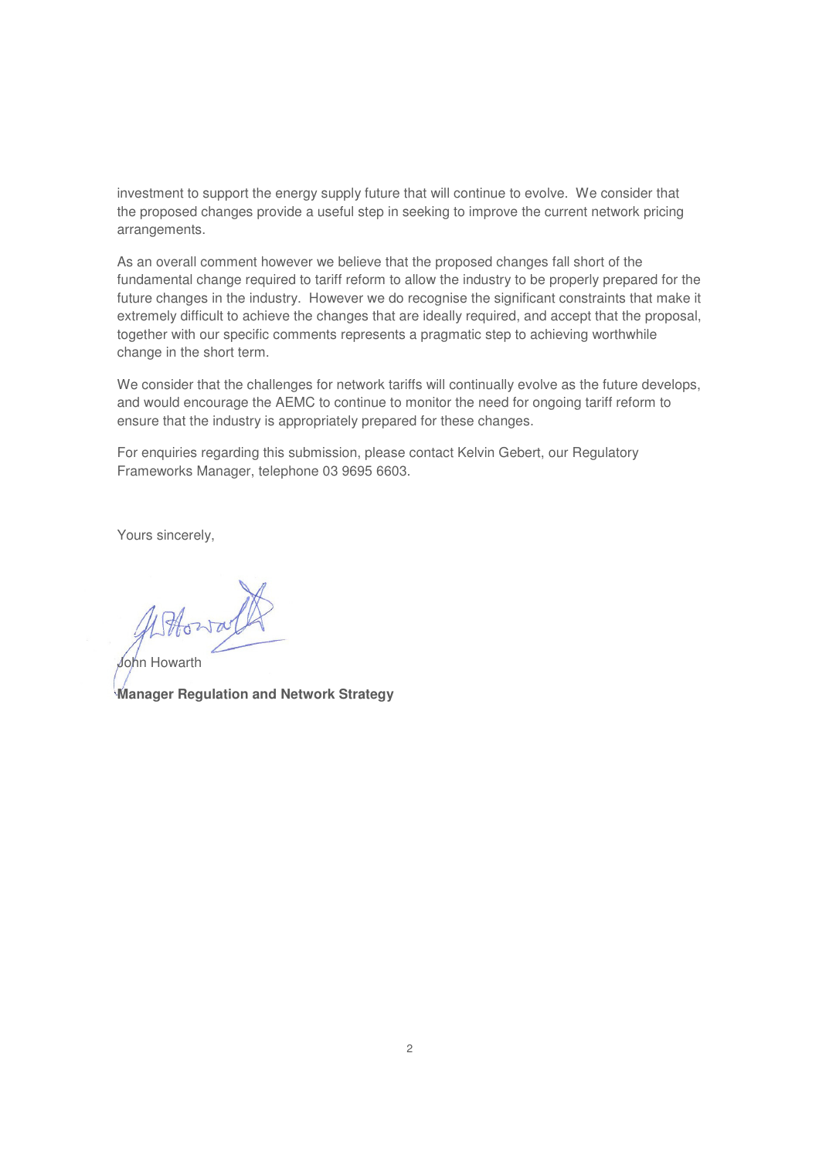investment to support the energy supply future that will continue to evolve. We consider that the proposed changes provide a useful step in seeking to improve the current network pricing arrangements.

As an overall comment however we believe that the proposed changes fall short of the fundamental change required to tariff reform to allow the industry to be properly prepared for the future changes in the industry. However we do recognise the significant constraints that make it extremely difficult to achieve the changes that are ideally required, and accept that the proposal, together with our specific comments represents a pragmatic step to achieving worthwhile change in the short term.

We consider that the challenges for network tariffs will continually evolve as the future develops, and would encourage the AEMC to continue to monitor the need for ongoing tariff reform to ensure that the industry is appropriately prepared for these changes.

For enquiries regarding this submission, please contact Kelvin Gebert, our Regulatory Frameworks Manager, telephone 03 9695 6603.

Yours sincerely,

John Howarth **Manager Regulation and Network Strategy**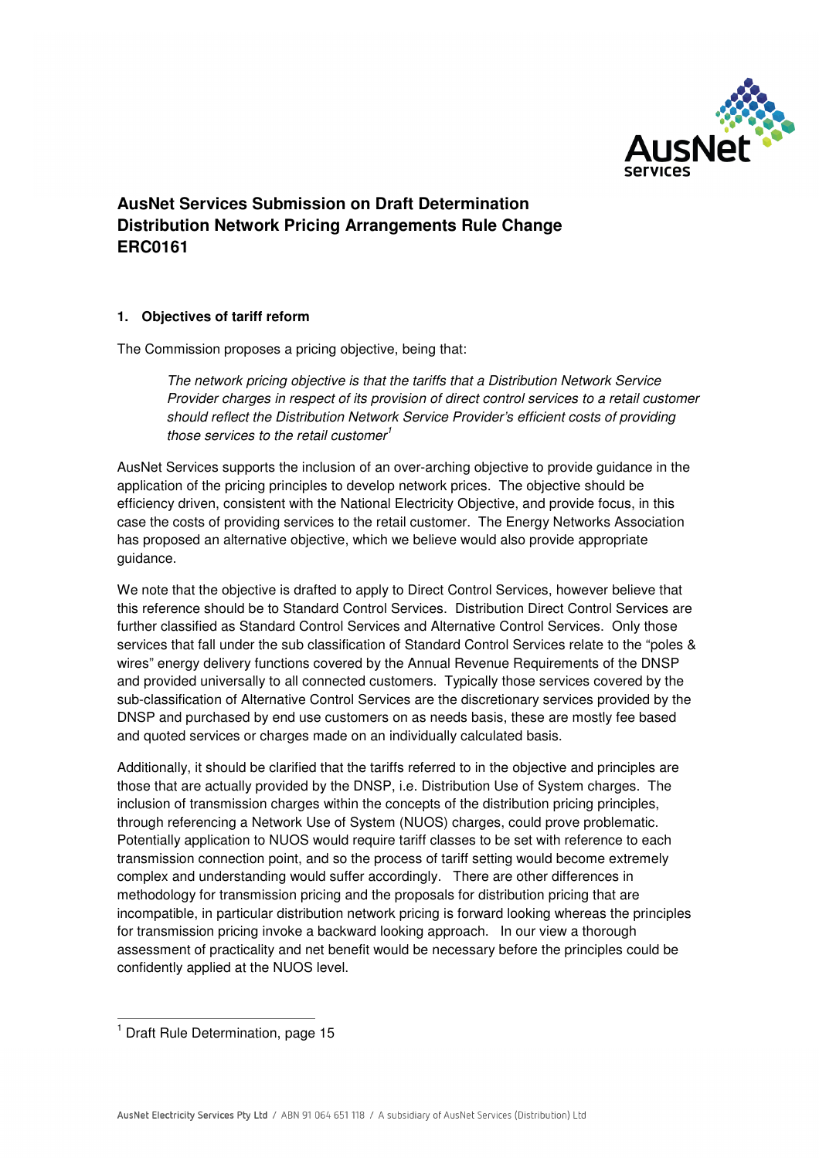

# **AusNet Services Submission on Draft Determination Distribution Network Pricing Arrangements Rule Change ERC0161**

## **1. Objectives of tariff reform**

The Commission proposes a pricing objective, being that:

The network pricing objective is that the tariffs that a Distribution Network Service Provider charges in respect of its provision of direct control services to a retail customer should reflect the Distribution Network Service Provider's efficient costs of providing those services to the retail customer<sup>1</sup>

AusNet Services supports the inclusion of an over-arching objective to provide guidance in the application of the pricing principles to develop network prices. The objective should be efficiency driven, consistent with the National Electricity Objective, and provide focus, in this case the costs of providing services to the retail customer. The Energy Networks Association has proposed an alternative objective, which we believe would also provide appropriate guidance.

We note that the objective is drafted to apply to Direct Control Services, however believe that this reference should be to Standard Control Services. Distribution Direct Control Services are further classified as Standard Control Services and Alternative Control Services. Only those services that fall under the sub classification of Standard Control Services relate to the "poles & wires" energy delivery functions covered by the Annual Revenue Requirements of the DNSP and provided universally to all connected customers. Typically those services covered by the sub-classification of Alternative Control Services are the discretionary services provided by the DNSP and purchased by end use customers on as needs basis, these are mostly fee based and quoted services or charges made on an individually calculated basis.

Additionally, it should be clarified that the tariffs referred to in the objective and principles are those that are actually provided by the DNSP, i.e. Distribution Use of System charges. The inclusion of transmission charges within the concepts of the distribution pricing principles, through referencing a Network Use of System (NUOS) charges, could prove problematic. Potentially application to NUOS would require tariff classes to be set with reference to each transmission connection point, and so the process of tariff setting would become extremely complex and understanding would suffer accordingly. There are other differences in methodology for transmission pricing and the proposals for distribution pricing that are incompatible, in particular distribution network pricing is forward looking whereas the principles for transmission pricing invoke a backward looking approach. In our view a thorough assessment of practicality and net benefit would be necessary before the principles could be confidently applied at the NUOS level.

 $\overline{a}$ <sup>1</sup> Draft Rule Determination, page 15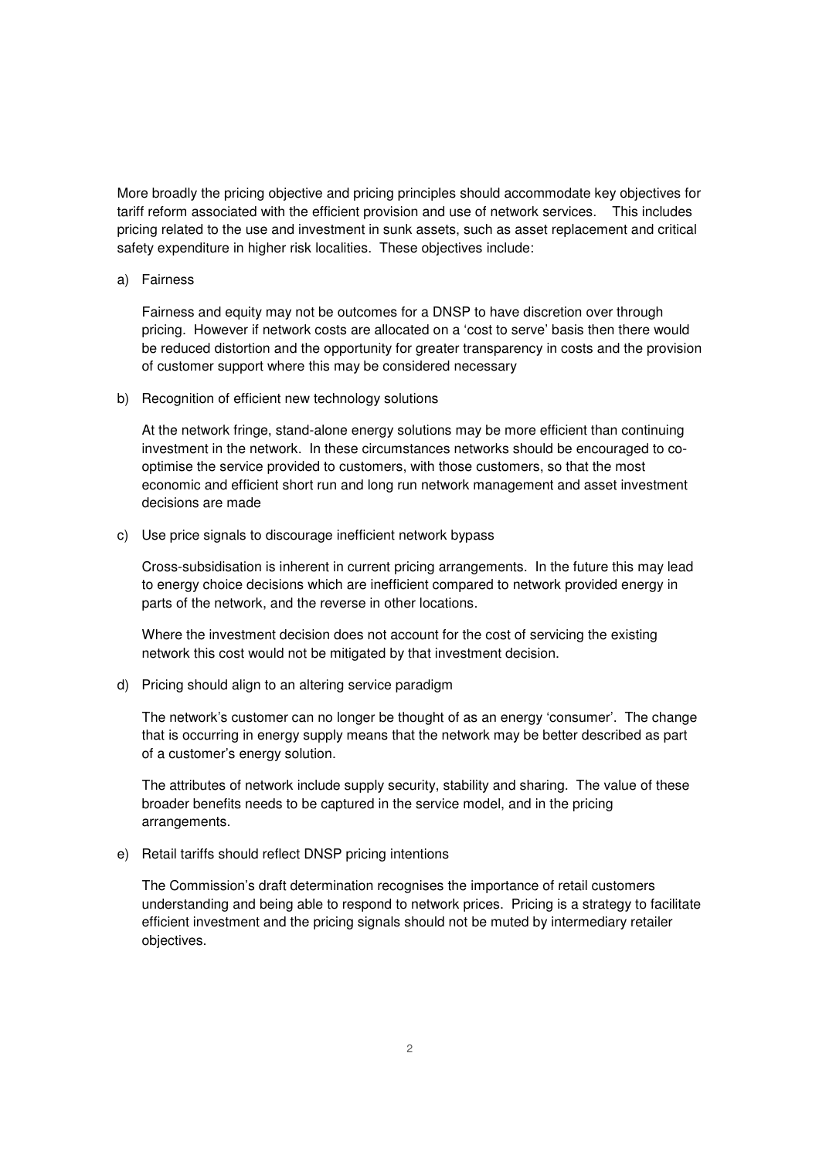More broadly the pricing objective and pricing principles should accommodate key objectives for tariff reform associated with the efficient provision and use of network services. This includes pricing related to the use and investment in sunk assets, such as asset replacement and critical safety expenditure in higher risk localities. These objectives include:

a) Fairness

Fairness and equity may not be outcomes for a DNSP to have discretion over through pricing. However if network costs are allocated on a 'cost to serve' basis then there would be reduced distortion and the opportunity for greater transparency in costs and the provision of customer support where this may be considered necessary

b) Recognition of efficient new technology solutions

At the network fringe, stand-alone energy solutions may be more efficient than continuing investment in the network. In these circumstances networks should be encouraged to cooptimise the service provided to customers, with those customers, so that the most economic and efficient short run and long run network management and asset investment decisions are made

c) Use price signals to discourage inefficient network bypass

Cross-subsidisation is inherent in current pricing arrangements. In the future this may lead to energy choice decisions which are inefficient compared to network provided energy in parts of the network, and the reverse in other locations.

Where the investment decision does not account for the cost of servicing the existing network this cost would not be mitigated by that investment decision.

d) Pricing should align to an altering service paradigm

The network's customer can no longer be thought of as an energy 'consumer'. The change that is occurring in energy supply means that the network may be better described as part of a customer's energy solution.

The attributes of network include supply security, stability and sharing. The value of these broader benefits needs to be captured in the service model, and in the pricing arrangements.

e) Retail tariffs should reflect DNSP pricing intentions

The Commission's draft determination recognises the importance of retail customers understanding and being able to respond to network prices. Pricing is a strategy to facilitate efficient investment and the pricing signals should not be muted by intermediary retailer objectives.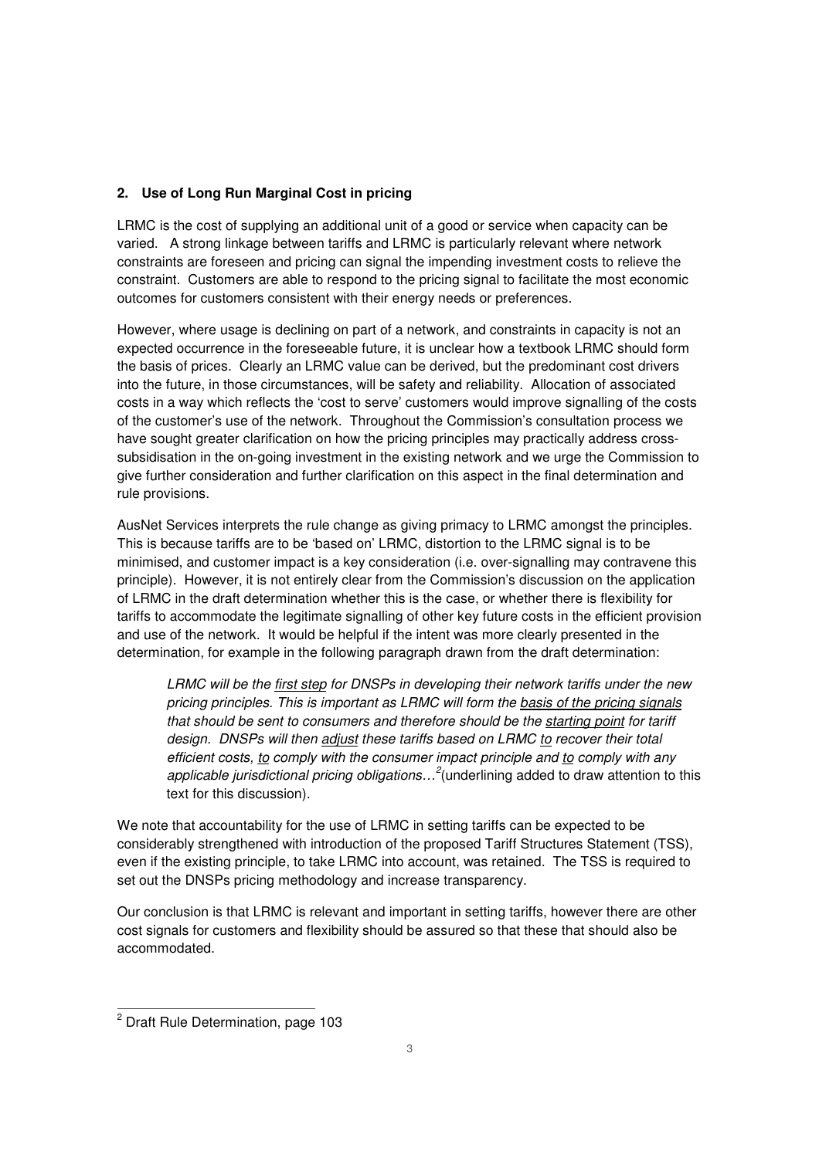## **2. Use of Long Run Marginal Cost in pricing**

LRMC is the cost of supplying an additional unit of a good or service when capacity can be varied. A strong linkage between tariffs and LRMC is particularly relevant where network constraints are foreseen and pricing can signal the impending investment costs to relieve the constraint. Customers are able to respond to the pricing signal to facilitate the most economic outcomes for customers consistent with their energy needs or preferences.

However, where usage is declining on part of a network, and constraints in capacity is not an expected occurrence in the foreseeable future, it is unclear how a textbook LRMC should form the basis of prices. Clearly an LRMC value can be derived, but the predominant cost drivers into the future, in those circumstances, will be safety and reliability. Allocation of associated costs in a way which reflects the 'cost to serve' customers would improve signalling of the costs of the customer's use of the network. Throughout the Commission's consultation process we have sought greater clarification on how the pricing principles may practically address crosssubsidisation in the on-going investment in the existing network and we urge the Commission to give further consideration and further clarification on this aspect in the final determination and rule provisions.

AusNet Services interprets the rule change as giving primacy to LRMC amongst the principles. This is because tariffs are to be 'based on' LRMC, distortion to the LRMC signal is to be minimised, and customer impact is a key consideration (i.e. over-signalling may contravene this principle). However, it is not entirely clear from the Commission's discussion on the application of LRMC in the draft determination whether this is the case, or whether there is flexibility for tariffs to accommodate the legitimate signalling of other key future costs in the efficient provision and use of the network. It would be helpful if the intent was more clearly presented in the determination, for example in the following paragraph drawn from the draft determination:

LRMC will be the first step for DNSPs in developing their network tariffs under the new pricing principles. This is important as LRMC will form the basis of the pricing signals that should be sent to consumers and therefore should be the starting point for tariff design. DNSPs will then adjust these tariffs based on LRMC to recover their total efficient costs, to comply with the consumer impact principle and to comply with any applicable jurisdictional pricing obligations...<sup>2</sup> (underlining added to draw attention to this text for this discussion).

We note that accountability for the use of LRMC in setting tariffs can be expected to be considerably strengthened with introduction of the proposed Tariff Structures Statement (TSS), even if the existing principle, to take LRMC into account, was retained. The TSS is required to set out the DNSPs pricing methodology and increase transparency.

Our conclusion is that LRMC is relevant and important in setting tariffs, however there are other cost signals for customers and flexibility should be assured so that these that should also be accommodated.

 2 Draft Rule Determination, page 103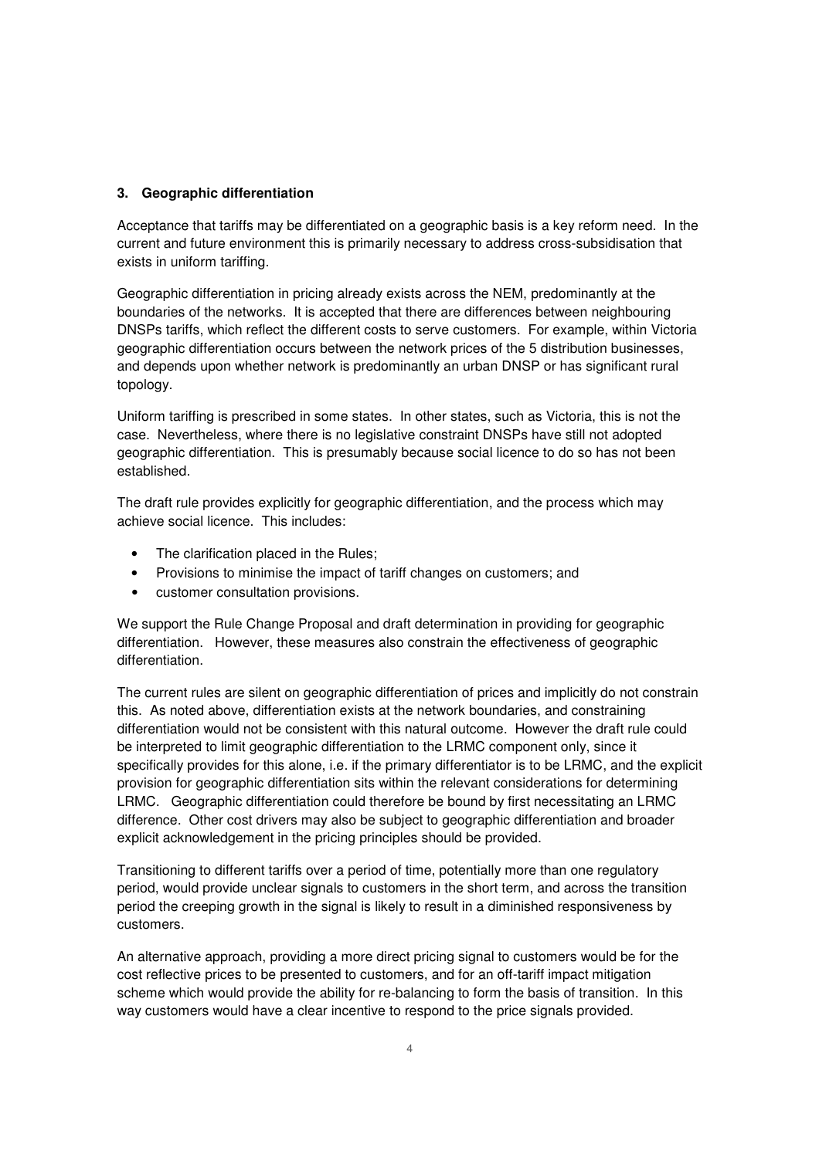#### **3. Geographic differentiation**

Acceptance that tariffs may be differentiated on a geographic basis is a key reform need. In the current and future environment this is primarily necessary to address cross-subsidisation that exists in uniform tariffing.

Geographic differentiation in pricing already exists across the NEM, predominantly at the boundaries of the networks. It is accepted that there are differences between neighbouring DNSPs tariffs, which reflect the different costs to serve customers. For example, within Victoria geographic differentiation occurs between the network prices of the 5 distribution businesses, and depends upon whether network is predominantly an urban DNSP or has significant rural topology.

Uniform tariffing is prescribed in some states. In other states, such as Victoria, this is not the case. Nevertheless, where there is no legislative constraint DNSPs have still not adopted geographic differentiation. This is presumably because social licence to do so has not been established.

The draft rule provides explicitly for geographic differentiation, and the process which may achieve social licence. This includes:

- The clarification placed in the Rules;
- Provisions to minimise the impact of tariff changes on customers; and
- customer consultation provisions.

We support the Rule Change Proposal and draft determination in providing for geographic differentiation. However, these measures also constrain the effectiveness of geographic differentiation.

The current rules are silent on geographic differentiation of prices and implicitly do not constrain this. As noted above, differentiation exists at the network boundaries, and constraining differentiation would not be consistent with this natural outcome. However the draft rule could be interpreted to limit geographic differentiation to the LRMC component only, since it specifically provides for this alone, i.e. if the primary differentiator is to be LRMC, and the explicit provision for geographic differentiation sits within the relevant considerations for determining LRMC. Geographic differentiation could therefore be bound by first necessitating an LRMC difference. Other cost drivers may also be subject to geographic differentiation and broader explicit acknowledgement in the pricing principles should be provided.

Transitioning to different tariffs over a period of time, potentially more than one regulatory period, would provide unclear signals to customers in the short term, and across the transition period the creeping growth in the signal is likely to result in a diminished responsiveness by customers.

An alternative approach, providing a more direct pricing signal to customers would be for the cost reflective prices to be presented to customers, and for an off-tariff impact mitigation scheme which would provide the ability for re-balancing to form the basis of transition. In this way customers would have a clear incentive to respond to the price signals provided.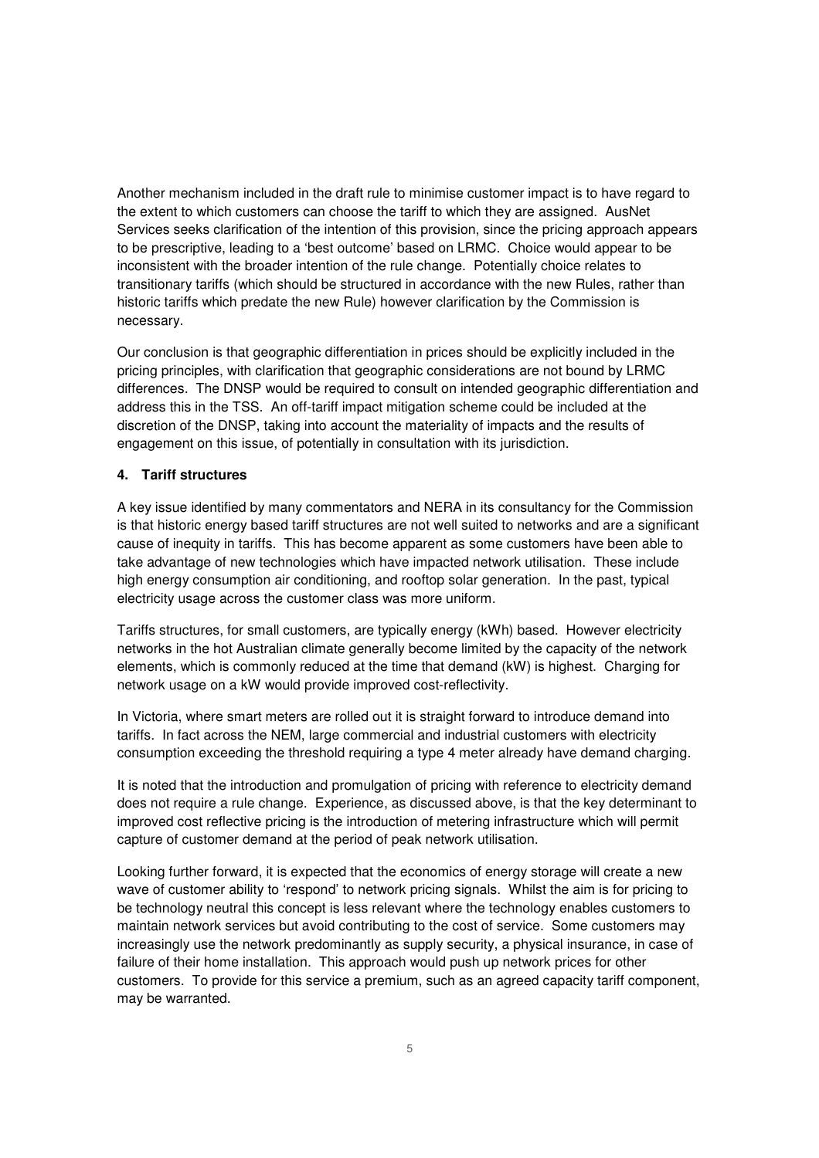Another mechanism included in the draft rule to minimise customer impact is to have regard to the extent to which customers can choose the tariff to which they are assigned. AusNet Services seeks clarification of the intention of this provision, since the pricing approach appears to be prescriptive, leading to a 'best outcome' based on LRMC. Choice would appear to be inconsistent with the broader intention of the rule change. Potentially choice relates to transitionary tariffs (which should be structured in accordance with the new Rules, rather than historic tariffs which predate the new Rule) however clarification by the Commission is necessary.

Our conclusion is that geographic differentiation in prices should be explicitly included in the pricing principles, with clarification that geographic considerations are not bound by LRMC differences. The DNSP would be required to consult on intended geographic differentiation and address this in the TSS. An off-tariff impact mitigation scheme could be included at the discretion of the DNSP, taking into account the materiality of impacts and the results of engagement on this issue, of potentially in consultation with its jurisdiction.

#### **4. Tariff structures**

A key issue identified by many commentators and NERA in its consultancy for the Commission is that historic energy based tariff structures are not well suited to networks and are a significant cause of inequity in tariffs. This has become apparent as some customers have been able to take advantage of new technologies which have impacted network utilisation. These include high energy consumption air conditioning, and rooftop solar generation. In the past, typical electricity usage across the customer class was more uniform.

Tariffs structures, for small customers, are typically energy (kWh) based. However electricity networks in the hot Australian climate generally become limited by the capacity of the network elements, which is commonly reduced at the time that demand (kW) is highest. Charging for network usage on a kW would provide improved cost-reflectivity.

In Victoria, where smart meters are rolled out it is straight forward to introduce demand into tariffs. In fact across the NEM, large commercial and industrial customers with electricity consumption exceeding the threshold requiring a type 4 meter already have demand charging.

It is noted that the introduction and promulgation of pricing with reference to electricity demand does not require a rule change. Experience, as discussed above, is that the key determinant to improved cost reflective pricing is the introduction of metering infrastructure which will permit capture of customer demand at the period of peak network utilisation.

Looking further forward, it is expected that the economics of energy storage will create a new wave of customer ability to 'respond' to network pricing signals. Whilst the aim is for pricing to be technology neutral this concept is less relevant where the technology enables customers to maintain network services but avoid contributing to the cost of service. Some customers may increasingly use the network predominantly as supply security, a physical insurance, in case of failure of their home installation. This approach would push up network prices for other customers. To provide for this service a premium, such as an agreed capacity tariff component, may be warranted.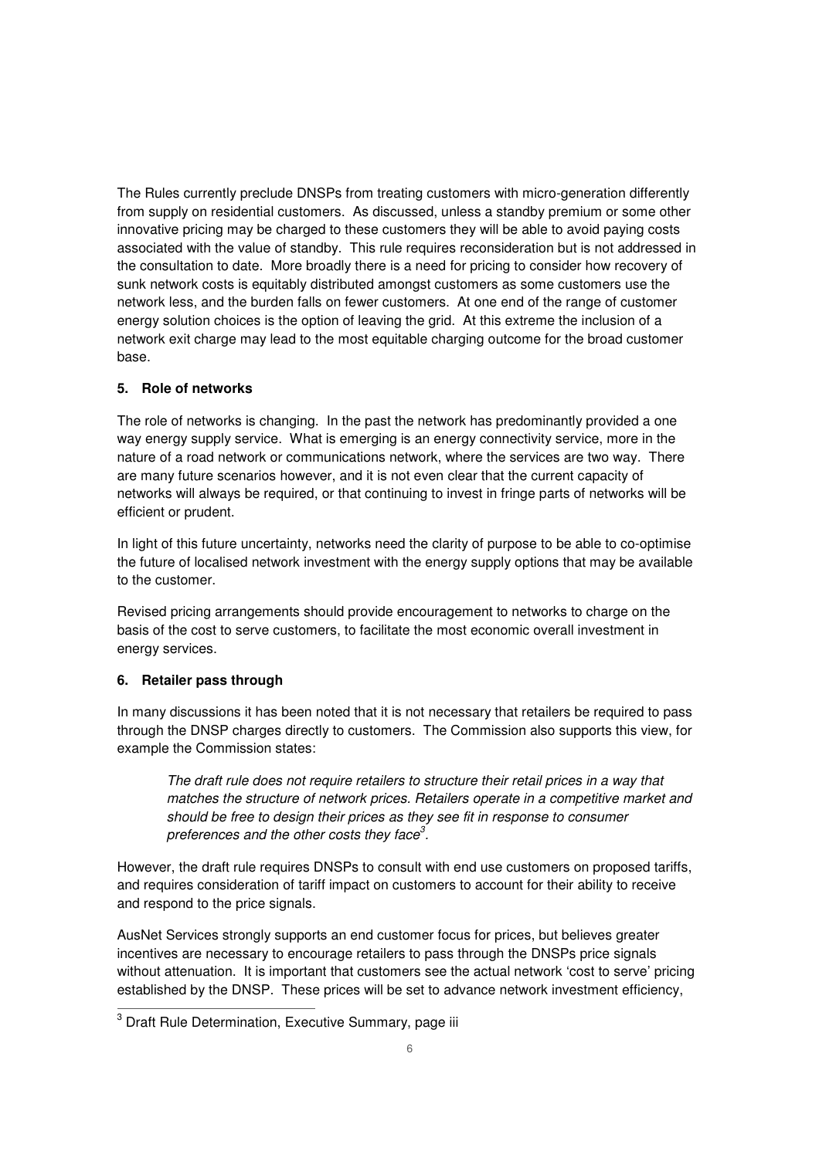The Rules currently preclude DNSPs from treating customers with micro-generation differently from supply on residential customers. As discussed, unless a standby premium or some other innovative pricing may be charged to these customers they will be able to avoid paying costs associated with the value of standby. This rule requires reconsideration but is not addressed in the consultation to date. More broadly there is a need for pricing to consider how recovery of sunk network costs is equitably distributed amongst customers as some customers use the network less, and the burden falls on fewer customers. At one end of the range of customer energy solution choices is the option of leaving the grid. At this extreme the inclusion of a network exit charge may lead to the most equitable charging outcome for the broad customer base.

#### **5. Role of networks**

The role of networks is changing. In the past the network has predominantly provided a one way energy supply service. What is emerging is an energy connectivity service, more in the nature of a road network or communications network, where the services are two way. There are many future scenarios however, and it is not even clear that the current capacity of networks will always be required, or that continuing to invest in fringe parts of networks will be efficient or prudent.

In light of this future uncertainty, networks need the clarity of purpose to be able to co-optimise the future of localised network investment with the energy supply options that may be available to the customer.

Revised pricing arrangements should provide encouragement to networks to charge on the basis of the cost to serve customers, to facilitate the most economic overall investment in energy services.

# **6. Retailer pass through**

In many discussions it has been noted that it is not necessary that retailers be required to pass through the DNSP charges directly to customers. The Commission also supports this view, for example the Commission states:

The draft rule does not require retailers to structure their retail prices in a way that matches the structure of network prices. Retailers operate in a competitive market and should be free to design their prices as they see fit in response to consumer preferences and the other costs they face $^3$ .

However, the draft rule requires DNSPs to consult with end use customers on proposed tariffs, and requires consideration of tariff impact on customers to account for their ability to receive and respond to the price signals.

AusNet Services strongly supports an end customer focus for prices, but believes greater incentives are necessary to encourage retailers to pass through the DNSPs price signals without attenuation. It is important that customers see the actual network 'cost to serve' pricing established by the DNSP. These prices will be set to advance network investment efficiency,

<sup>&</sup>lt;u>meta</u><br><sup>3</sup> Draft Rule Determination, Executive Summary, page iii